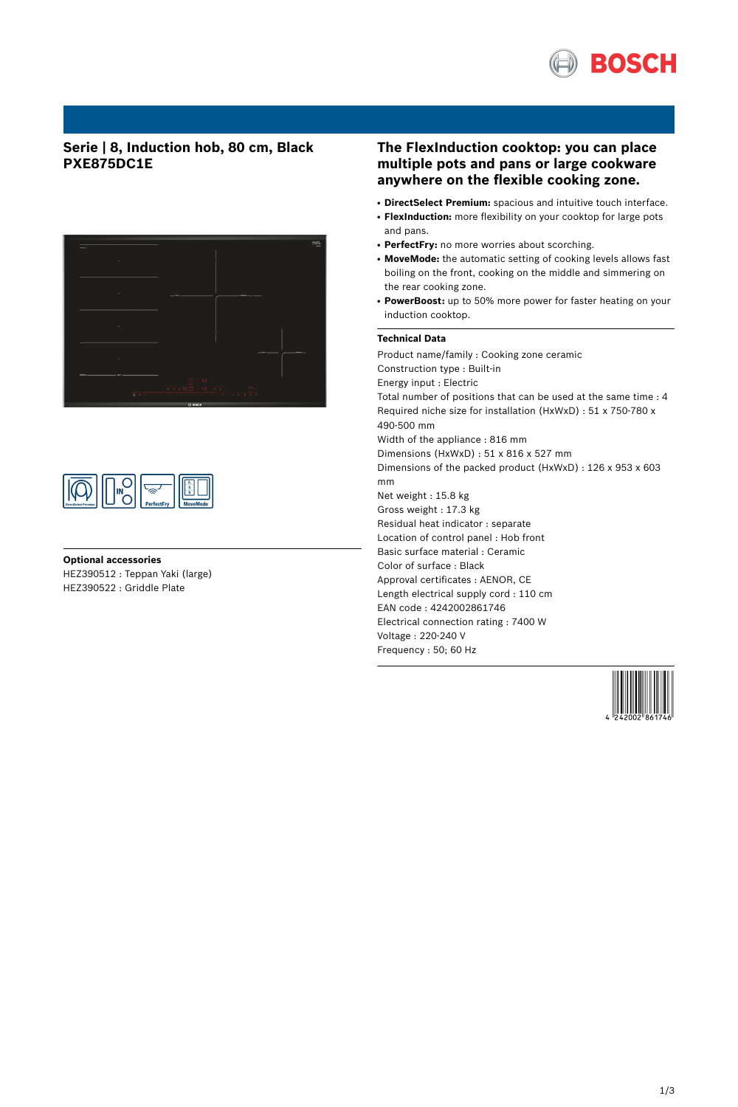

## **Serie | 8, Induction hob, 80 cm, Black PXE875DC1E**





## **Optional accessories**

HEZ390512 : Teppan Yaki (large) HEZ390522 : Griddle Plate

## **The FlexInduction cooktop: you can place multiple pots and pans or large cookware anywhere on the flexible cooking zone.**

- **DirectSelect Premium:** spacious and intuitive touch interface.
- **FlexInduction:** more flexibility on your cooktop for large pots
- and pans. • PerfectFry: no more worries about scorching.
- **MoveMode:** the automatic setting of cooking levels allows fast boiling on the front, cooking on the middle and simmering on the rear cooking zone.
- **PowerBoost:** up to 50% more power for faster heating on your induction cooktop.

### **Technical Data**

Product name/family : Cooking zone ceramic Construction type : Built-in Energy input : Electric Total number of positions that can be used at the same time : 4 Required niche size for installation (HxWxD) : 51 x 750-780 x 490-500 mm Width of the appliance : 816 mm Dimensions (HxWxD) : 51 x 816 x 527 mm Dimensions of the packed product (HxWxD) : 126 x 953 x 603 mm Net weight : 15.8 kg Gross weight : 17.3 kg Residual heat indicator : separate Location of control panel : Hob front Basic surface material : Ceramic Color of surface : Black Approval certificates : AENOR, CE Length electrical supply cord : 110 cm EAN code : 4242002861746 Electrical connection rating : 7400 W Voltage : 220-240 V Frequency : 50; 60 Hz

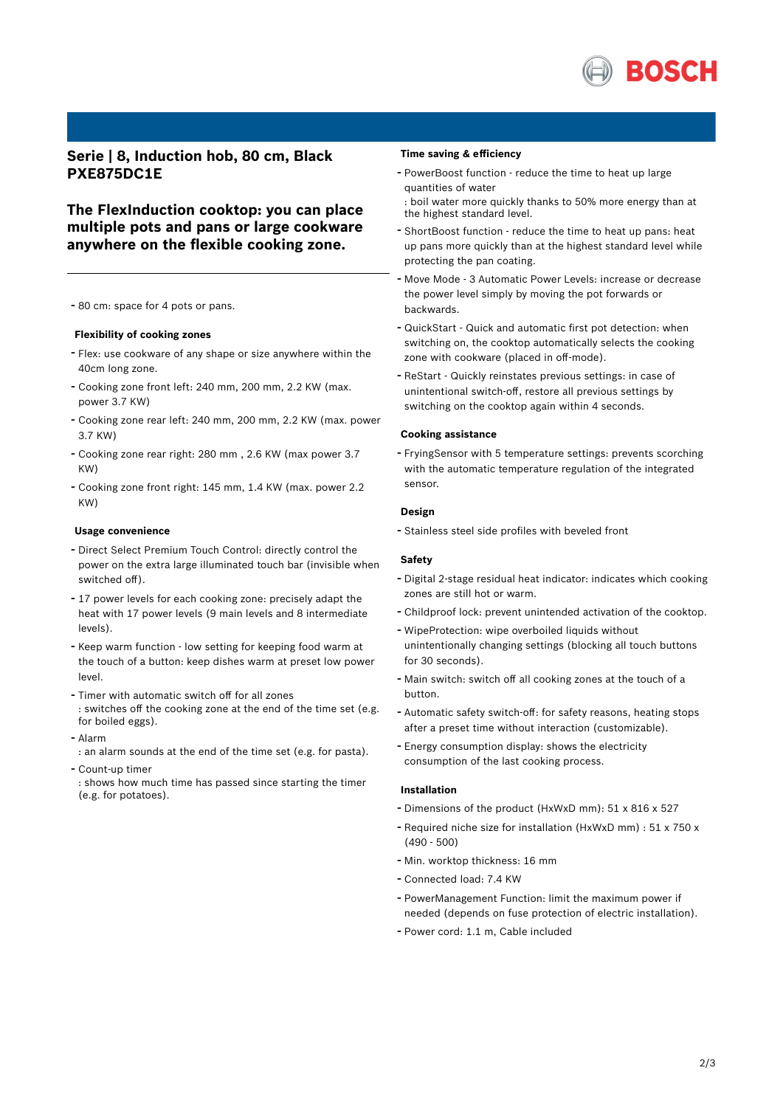

**Serie | 8, Induction hob, 80 cm, Black PXE875DC1E**

**The FlexInduction cooktop: you can place multiple pots and pans or large cookware anywhere on the flexible cooking zone.**

- <sup>80</sup> cm: space for <sup>4</sup> pots or pans.

#### **Flexibility of cooking zones**

- Flex: use cookware of any shape or size anywhere within the 40cm long zone.
- Cooking zone front left: <sup>240</sup> mm, <sup>200</sup> mm, 2.2 KW (max. power 3.7 KW)
- Cooking zone rear left: <sup>240</sup> mm, <sup>200</sup> mm, 2.2 KW (max. power 3.7 KW)
- Cooking zone rear right: <sup>280</sup> mm , 2.6 KW (max power 3.7 KW)
- Cooking zone front right: <sup>145</sup> mm, 1.4 KW (max. power 2.2 KW)

#### **Usage convenience**

- Direct Select Premium Touch Control: directly control the power on the extra large illuminated touch bar (invisible when switched off).
- <sup>17</sup> power levels for each cooking zone: precisely adapt the heat with 17 power levels (9 main levels and 8 intermediate levels).
- Keep warm function low setting for keeping food warm at the touch of a button: keep dishes warm at preset low power level.
- Timer with automatic switch off for all zones : switches off the cooking zone at the end of the time set (e.g. for boiled eggs).
- Alarm
- : an alarm sounds at the end of the time set (e.g. for pasta).
- Count-up timer

: shows how much time has passed since starting the timer (e.g. for potatoes).

#### **Time saving & efficiency**

- PowerBoost function reduce the time to heat up large quantities of water
- : boil water more quickly thanks to 50% more energy than at the highest standard level.
- ShortBoost function reduce the time to heat up pans: heat up pans more quickly than at the highest standard level while protecting the pan coating.
- Move Mode <sup>3</sup> Automatic Power Levels: increase or decrease the power level simply by moving the pot forwards or backwards.
- QuickStart Quick and automatic first pot detection: when switching on, the cooktop automatically selects the cooking zone with cookware (placed in off-mode).
- ReStart Quickly reinstates previous settings: in case of unintentional switch-off, restore all previous settings by switching on the cooktop again within 4 seconds.

#### **Cooking assistance**

- FryingSensor with <sup>5</sup> temperature settings: prevents scorching with the automatic temperature regulation of the integrated sensor.

### **Design**

- Stainless steel side profiles with beveled front

#### **Safety**

- Digital 2-stage residual heat indicator: indicates which cooking zones are still hot or warm.
- Childproof lock: prevent unintended activation of the cooktop.
- WipeProtection: wipe overboiled liquids without unintentionally changing settings (blocking all touch buttons for 30 seconds).
- Main switch: switch off all cooking zones at the touch of <sup>a</sup> button.
- Automatic safety switch-off: for safety reasons, heating stops after a preset time without interaction (customizable).
- Energy consumption display: shows the electricity consumption of the last cooking process.

#### **Installation**

- Dimensions of the product (HxWxD mm): <sup>51</sup> <sup>x</sup> <sup>816</sup> <sup>x</sup> <sup>527</sup>
- Required niche size for installation (HxWxD mm) : <sup>51</sup> <sup>x</sup> <sup>750</sup> <sup>x</sup> (490 - 500)
- Min. worktop thickness: <sup>16</sup> mm
- Connected load: 7.4 KW
- PowerManagement Function: limit the maximum power if needed (depends on fuse protection of electric installation).
- Power cord: 1.1 m, Cable included